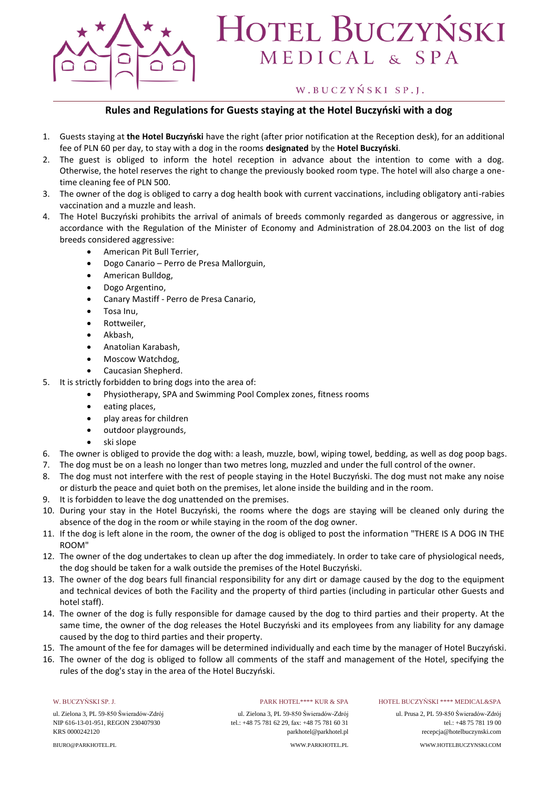

# **HOTEL BUCZYŃSKI** MEDICAL & SPA

### W.BUCZYŃSKI SP.J.

### **Rules and Regulations for Guests staying at the Hotel Buczyński with a dog**

- 1. Guests staying at **the Hotel Buczyński** have the right (after prior notification at the Reception desk), for an additional fee of PLN 60 per day, to stay with a dog in the rooms **designated** by the **Hotel Buczyński**.
- 2. The guest is obliged to inform the hotel reception in advance about the intention to come with a dog. Otherwise, the hotel reserves the right to change the previously booked room type. The hotel will also charge a onetime cleaning fee of PLN 500.
- 3. The owner of the dog is obliged to carry a dog health book with current vaccinations, including obligatory anti-rabies vaccination and a muzzle and leash.
- 4. The Hotel Buczyński prohibits the arrival of animals of breeds commonly regarded as dangerous or aggressive, in accordance with the Regulation of the Minister of Economy and Administration of 28.04.2003 on the list of dog breeds considered aggressive:
	- American Pit Bull Terrier,
	- Dogo Canario Perro de Presa Mallorguin,
	- American Bulldog,
	- Dogo Argentino,
	- Canary Mastiff Perro de Presa Canario,
	- Tosa Inu,
	- Rottweiler,
	- Akbash,
	- Anatolian Karabash,
	- Moscow Watchdog,
	- Caucasian Shepherd.
- 5. It is strictly forbidden to bring dogs into the area of:
	- Physiotherapy, SPA and Swimming Pool Complex zones, fitness rooms
	- eating places,
	- play areas for children
	- outdoor playgrounds,
	- ski slope
- 6. The owner is obliged to provide the dog with: a leash, muzzle, bowl, wiping towel, bedding, as well as dog poop bags.
- 7. The dog must be on a leash no longer than two metres long, muzzled and under the full control of the owner.
- 8. The dog must not interfere with the rest of people staying in the Hotel Buczyński. The dog must not make any noise or disturb the peace and quiet both on the premises, let alone inside the building and in the room.
- 9. It is forbidden to leave the dog unattended on the premises.
- 10. During your stay in the Hotel Buczyński, the rooms where the dogs are staying will be cleaned only during the absence of the dog in the room or while staying in the room of the dog owner.
- 11. If the dog is left alone in the room, the owner of the dog is obliged to post the information "THERE IS A DOG IN THE ROOM"
- 12. The owner of the dog undertakes to clean up after the dog immediately. In order to take care of physiological needs, the dog should be taken for a walk outside the premises of the Hotel Buczyński.
- 13. The owner of the dog bears full financial responsibility for any dirt or damage caused by the dog to the equipment and technical devices of both the Facility and the property of third parties (including in particular other Guests and hotel staff).
- 14. The owner of the dog is fully responsible for damage caused by the dog to third parties and their property. At the same time, the owner of the dog releases the Hotel Buczyński and its employees from any liability for any damage caused by the dog to third parties and their property.
- 15. The amount of the fee for damages will be determined individually and each time by the manager of Hotel Buczyński.
- 16. The owner of the dog is obliged to follow all comments of the staff and management of the Hotel, specifying the rules of the dog's stay in the area of the Hotel Buczyński.

### W. BUCZYŃSKI SP. J.

ul. Zielona 3, PL 59-850 Świeradów-Zdrój NIP 616-13-01-951, REGON 230407930 KRS 0000242120

BIURO@PARKHOTEL.PL

### PARK HOTEL\*\*\*\* KUR & SPA

ul. Zielona 3, PL 59-850 Świeradów-Zdrój tel.: +48 75 781 62 29, fax: +48 75 781 60 31 parkhotel@parkhotel.pl WWW.PARKHOTEL.PL

### HOTEL BUCZYŃSKI \*\*\*\* MEDICAL&SPA

ul. Prusa 2, PL 59-850 Świeradów-Zdrój tel.: +48 75 781 19 00 recepcja@hotelbuczynski.com WWW.HOTELBUCZYNSKI.COM